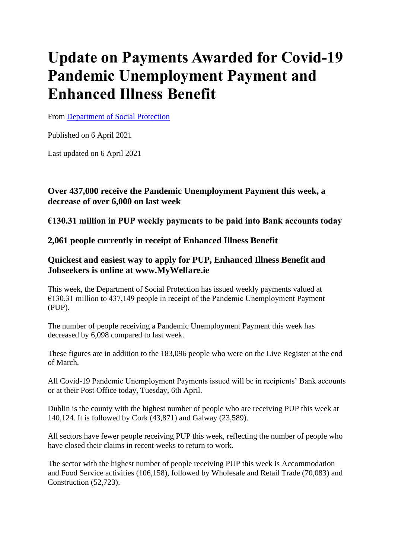# **Update on Payments Awarded for Covid-19 Pandemic Unemployment Payment and Enhanced Illness Benefit**

From [Department of Social Protection](https://www.gov.ie/en/organisation/department-of-social-protection/)

Published on 6 April 2021

Last updated on 6 April 2021

# **Over 437,000 receive the Pandemic Unemployment Payment this week, a decrease of over 6,000 on last week**

**€130.31 million in PUP weekly payments to be paid into Bank accounts today** 

# **2,061 people currently in receipt of Enhanced Illness Benefit**

# **Quickest and easiest way to apply for PUP, Enhanced Illness Benefit and Jobseekers is online at www.MyWelfare.ie**

This week, the Department of Social Protection has issued weekly payments valued at €130.31 million to 437,149 people in receipt of the Pandemic Unemployment Payment (PUP).

The number of people receiving a Pandemic Unemployment Payment this week has decreased by 6,098 compared to last week.

These figures are in addition to the 183,096 people who were on the Live Register at the end of March.

All Covid-19 Pandemic Unemployment Payments issued will be in recipients' Bank accounts or at their Post Office today, Tuesday, 6th April.

Dublin is the county with the highest number of people who are receiving PUP this week at 140,124. It is followed by Cork (43,871) and Galway (23,589).

All sectors have fewer people receiving PUP this week, reflecting the number of people who have closed their claims in recent weeks to return to work.

The sector with the highest number of people receiving PUP this week is Accommodation and Food Service activities (106,158), followed by Wholesale and Retail Trade (70,083) and Construction (52,723).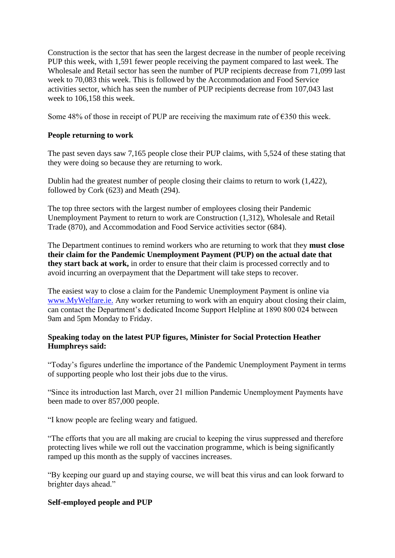Construction is the sector that has seen the largest decrease in the number of people receiving PUP this week, with 1,591 fewer people receiving the payment compared to last week. The Wholesale and Retail sector has seen the number of PUP recipients decrease from 71,099 last week to 70,083 this week. This is followed by the Accommodation and Food Service activities sector, which has seen the number of PUP recipients decrease from 107,043 last week to 106,158 this week.

Some 48% of those in receipt of PUP are receiving the maximum rate of  $\epsilon$ 350 this week.

## **People returning to work**

The past seven days saw 7,165 people close their PUP claims, with 5,524 of these stating that they were doing so because they are returning to work.

Dublin had the greatest number of people closing their claims to return to work (1,422), followed by Cork (623) and Meath (294).

The top three sectors with the largest number of employees closing their Pandemic Unemployment Payment to return to work are Construction (1,312), Wholesale and Retail Trade (870), and Accommodation and Food Service activities sector (684).

The Department continues to remind workers who are returning to work that they **must close their claim for the Pandemic Unemployment Payment (PUP) on the actual date that they start back at work,** in order to ensure that their claim is processed correctly and to avoid incurring an overpayment that the Department will take steps to recover.

The easiest way to close a claim for the Pandemic Unemployment Payment is online via [www.MyWelfare.ie.](https://www.mywelfare.ie/) Any worker returning to work with an enquiry about closing their claim, can contact the Department's dedicated Income Support Helpline at 1890 800 024 between 9am and 5pm Monday to Friday.

## **Speaking today on the latest PUP figures, Minister for Social Protection Heather Humphreys said:**

"Today's figures underline the importance of the Pandemic Unemployment Payment in terms of supporting people who lost their jobs due to the virus.

"Since its introduction last March, over 21 million Pandemic Unemployment Payments have been made to over 857,000 people.

"I know people are feeling weary and fatigued.

"The efforts that you are all making are crucial to keeping the virus suppressed and therefore protecting lives while we roll out the vaccination programme, which is being significantly ramped up this month as the supply of vaccines increases.

"By keeping our guard up and staying course, we will beat this virus and can look forward to brighter days ahead."

## **Self-employed people and PUP**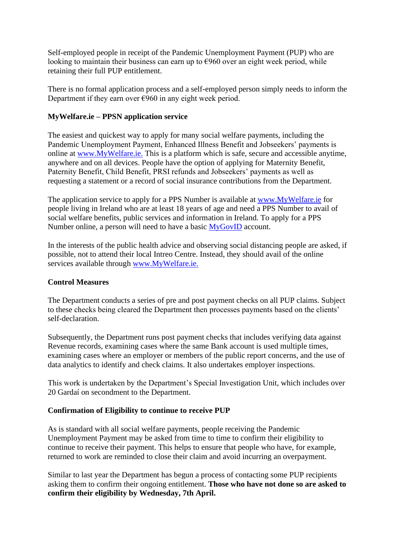Self-employed people in receipt of the Pandemic Unemployment Payment (PUP) who are looking to maintain their business can earn up to  $\epsilon$ 960 over an eight week period, while retaining their full PUP entitlement.

There is no formal application process and a self-employed person simply needs to inform the Department if they earn over  $\epsilon$ 960 in any eight week period.

#### **MyWelfare.ie – PPSN application service**

The easiest and quickest way to apply for many social welfare payments, including the Pandemic Unemployment Payment, Enhanced Illness Benefit and Jobseekers' payments is online at [www.MyWelfare.ie.](https://www.mywelfare.ie/) This is a platform which is safe, secure and accessible anytime, anywhere and on all devices. People have the option of applying for Maternity Benefit, Paternity Benefit, Child Benefit, PRSI refunds and Jobseekers' payments as well as requesting a statement or a record of social insurance contributions from the Department.

The application service to apply for a PPS Number is available at [www.MyWelfare.ie](https://www.mywelfare.ie/) for people living in Ireland who are at least 18 years of age and need a PPS Number to avail of social welfare benefits, public services and information in Ireland. To apply for a PPS Number online, a person will need to have a basic [MyGovID](https://www.mygovid.ie/) account.

In the interests of the public health advice and observing social distancing people are asked, if possible, not to attend their local Intreo Centre. Instead, they should avail of the online services available through [www.MyWelfare.ie.](https://www.mywelfare.ie/)

#### **Control Measures**

The Department conducts a series of pre and post payment checks on all PUP claims. Subject to these checks being cleared the Department then processes payments based on the clients' self-declaration.

Subsequently, the Department runs post payment checks that includes verifying data against Revenue records, examining cases where the same Bank account is used multiple times, examining cases where an employer or members of the public report concerns, and the use of data analytics to identify and check claims. It also undertakes employer inspections.

This work is undertaken by the Department's Special Investigation Unit, which includes over 20 Gardaí on secondment to the Department.

#### **Confirmation of Eligibility to continue to receive PUP**

As is standard with all social welfare payments, people receiving the Pandemic Unemployment Payment may be asked from time to time to confirm their eligibility to continue to receive their payment. This helps to ensure that people who have, for example, returned to work are reminded to close their claim and avoid incurring an overpayment.

Similar to last year the Department has begun a process of contacting some PUP recipients asking them to confirm their ongoing entitlement. **Those who have not done so are asked to confirm their eligibility by Wednesday, 7th April.**